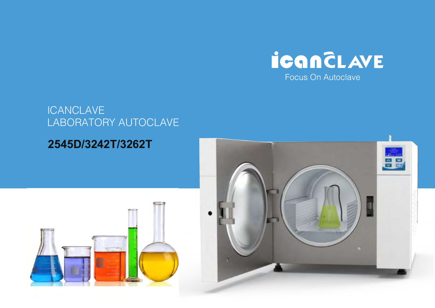

# **ICANCLAVE** LABORATORY AUTOCLAVE

# **2545D/3242T/3262T**



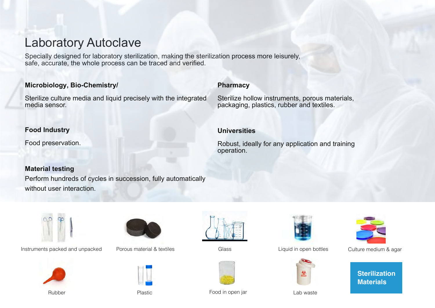# Laboratory Autoclave

Specially designed for laboratory sterilization, making the sterilization process more leisurely, safe, accurate, the whole process can be traced and verified.

# **Microbiology, Bio-Chemistry/**

Sterilize culture media and liquid precisely with the integrated media sensor.

#### **Pharmacy**

Sterilize hollow instruments, porous materials, packaging, plastics, rubber and textiles.

# **Food Industry**

Food preservation.

# **Universities**

Robust, ideally for any application and training operation.

# **Material testing**

Perform hundreds of cycles in succession, fully automatically without user interaction.



Instruments packed and unpacked Porous material & textiles Glass Glass Liquid in open bottles Culture medium & agar











Rubber **Plastic** Plastic **Food in open jar Lab waste** Lab waste







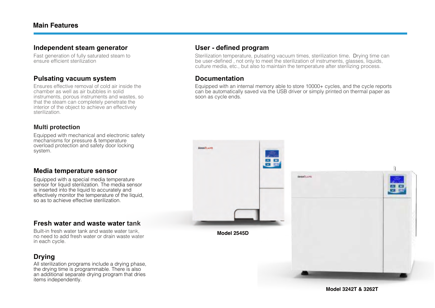#### **Independent steam generator**

Fast generation of fully saturated steam to ensure efficient sterilization

#### **Pulsating vacuum system**

Ensures effective removal of cold air inside the chamber as well as air bubbles in solid instruments, porous instruments and wastes, so that the steam can completely penetrate the interior of the object to achieve an effectively sterilization.

#### **Multi protection**

Equipped with mechanical and electronic safety mechanisms for pressure & temperature overload protection and safety door locking system.

# **Media temperature sensor**

Equipped with a special media temperature sensor for liquid sterilization. The media sensor is inserted into the liquid to accurately and effectively monitor the temperature of the liquid. so as to achieve effective sterilization

# **Fresh water and waste water tank**

Built-in fresh water tank and waste water tank, no need to add fresh water or drain waste water in each cycle.

# **Drying**

All sterilization programs include a drying phase, the drying time is programmable. There is also an additional separate drying program that dries items independently.

#### **User - defined program**

Sterilization temperature, pulsating vacuum times, sterilization time. Drying time can be user-defined , not only to meet the sterilization of instruments, glasses, liquids, culture media, etc., but also to maintain the temperature after sterilizing process.

# **Documentation**

Equipped with an internal memory able to store 10000+ cycles, and the cycle reports can be automatically saved via the USB driver or simply printed on thermal paper as soon as cycle ends.

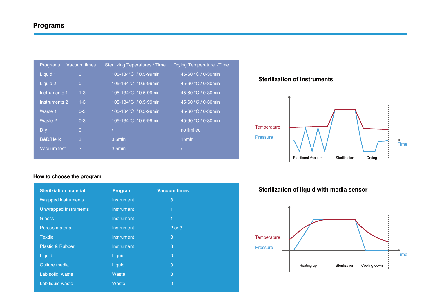| Vacuum times<br>Programs   | <b>Sterilizing Teperatures / Time</b> | Drying Temperature /Time    |
|----------------------------|---------------------------------------|-----------------------------|
| Liquid 1<br>$\overline{0}$ | $105 - 134^{\circ}C$ / 0.5-99min      | 45-60 °C / 0-30min          |
| Liquid 2<br>$\Omega$       | $105 - 134^{\circ}C$ / 0.5-99min      | 45-60 °C / 0-30min          |
| Instruments 1<br>$1 - 3$   | $105 - 134^{\circ}C$ / 0.5-99min      | 45-60 °C / 0-30min          |
| $1 - 3$<br>Instruments 2   | 105-134°C / 0.5-99min                 | 45-60 $\degree$ C / 0-30min |
| Waste 1<br>$0 - 3$         | 105-134°C / 0.5-99min                 | 45-60 °C / 0-30min          |
| Waste 2<br>$0 - 3$         | 105-134°C / 0.5-99min                 | 45-60 °C / 0-30min          |
| $\Omega$<br>Dry            |                                       | no limited                  |
| B&D/Helix<br>3             | 3.5min                                | 15 <sub>min</sub>           |
| 3<br>Vacuum test           | $3.5$ min                             |                             |
|                            |                                       |                             |

#### **How to choose the program**

| <b>Sterilziation material</b> | Program           | <b>Vacuum times</b> |
|-------------------------------|-------------------|---------------------|
| <b>Wrapped instruments</b>    | <b>Instrument</b> | 3                   |
| Unwrapped instruments         | Instrument        | 1                   |
| <b>Glasss</b>                 | <b>Instrument</b> | 1                   |
| <b>Porous material</b>        | <b>Instrument</b> | 2 or 3              |
| <b>Textile</b>                | <b>Instrument</b> | 3                   |
| <b>Plastic &amp; Rubber</b>   | <b>Instrument</b> | 3                   |
| Liquid                        | Liquid            | $\overline{0}$      |
| Culture media                 | Liquid            | $\overline{0}$      |
| Lab solid waste               | Waste             | 3                   |
| Lab liquid waste              | <b>Waste</b>      | $\overline{0}$      |

#### **Sterilization of Instruments**



# **Sterilization of liquid with media sensor**

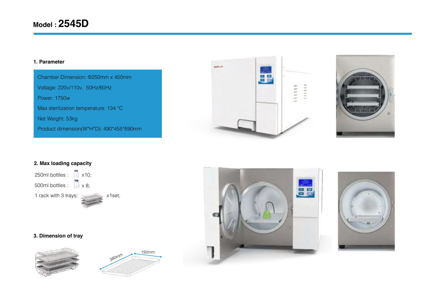#### **1. Parameter**

Chamber Dimension: Φ250mm x 450mm Voltage: 220v/110v, 50Hz/60Hz Power: 1750w Max sterilization temperature: 134 ℃ Net Weight: 53kg Product dimension(W\*H\*D): 490\*455\*690mm





#### **2. Max loading capacity**



#### **3. Dimension of tray**







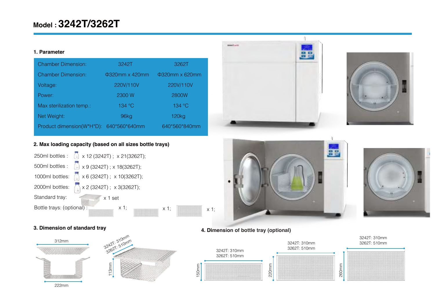# **Model : 3242T/3262T**

#### **1. Parameter**

| <b>Chamber Dimension:</b>               | 3242T                 | 3262T                 |
|-----------------------------------------|-----------------------|-----------------------|
| <b>Chamber Dimension:</b>               | <b>Φ320mm x 420mm</b> | <b>Φ320mm x 620mm</b> |
| Voltage:                                | 220V/110V             | 220V/110V             |
| Power:                                  | 2300 W                | 2800W                 |
| Max sterilization temp.:                | 134 °C                | 134 °C                |
| Net Weight:                             | 96kg                  | 120 <sub>kg</sub>     |
| Product dimension(W*H*D): 640*560*640mm |                       | 640*560*840mm         |

#### **2. Max loading capacity (based on all sizes bottle trays)**













# **3. Dimension of standard tray 4. Dimension of bottle tray (optional)**



222mm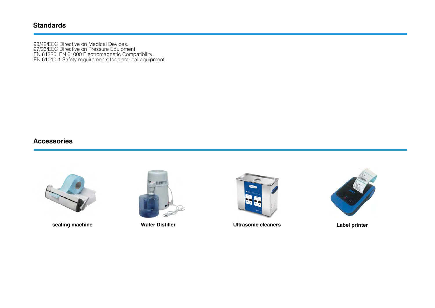#### **Standards**

93/42/EEC Directive on Medical Devices. 97/23/EEC Directive on Pressure Equipment. EN 61326, EN 61000 Electromagnetic Compatibility. EN 61010-1 Safety requirements for electrical equipment.

#### **Accessories**







**sealing machine Water Distiller Ultrasonic cleaners Label printer**